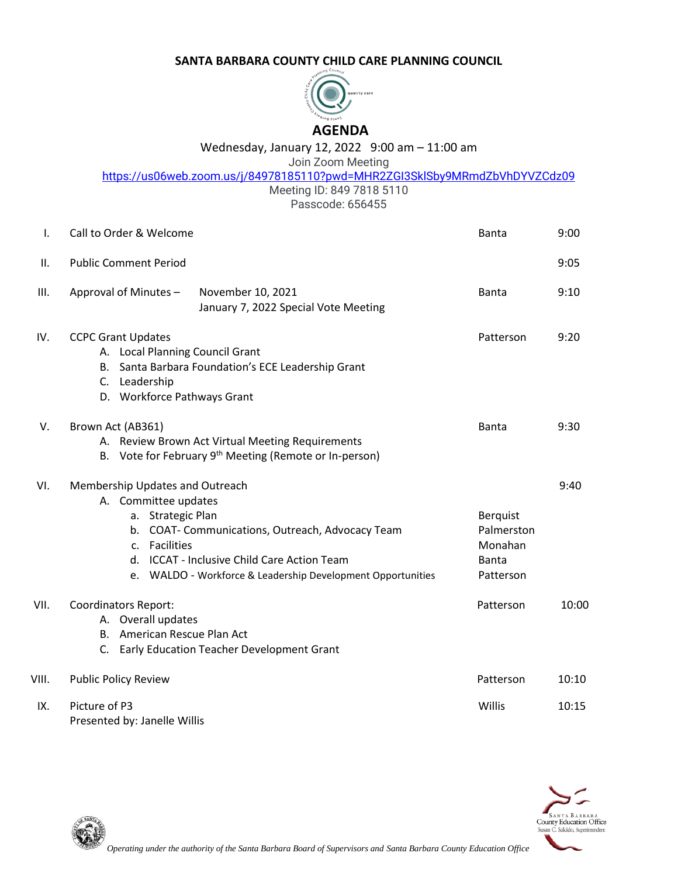## **SANTA BARBARA COUNTY CHILD CARE PLANNING COUNCIL**



## Wednesday, January 12, 2022 9:00 am – 11:00 am

Join Zoom Meeting

<https://us06web.zoom.us/j/84978185110?pwd=MHR2ZGI3SklSby9MRmdZbVhDYVZCdz09>

Meeting ID: 849 7818 5110

Passcode: 656455

| Ι.    | Call to Order & Welcome                                                                                                                                                                                                                                                        | Banta                                                                 | 9:00  |
|-------|--------------------------------------------------------------------------------------------------------------------------------------------------------------------------------------------------------------------------------------------------------------------------------|-----------------------------------------------------------------------|-------|
| ΙΙ.   | <b>Public Comment Period</b>                                                                                                                                                                                                                                                   |                                                                       | 9:05  |
| III.  | Approval of Minutes -<br>November 10, 2021<br>January 7, 2022 Special Vote Meeting                                                                                                                                                                                             | <b>Banta</b>                                                          | 9:10  |
| IV.   | <b>CCPC Grant Updates</b><br>A. Local Planning Council Grant<br>B. Santa Barbara Foundation's ECE Leadership Grant<br>C. Leadership<br>D. Workforce Pathways Grant                                                                                                             | Patterson                                                             | 9:20  |
| V.    | Brown Act (AB361)<br>A. Review Brown Act Virtual Meeting Requirements<br>B. Vote for February 9 <sup>th</sup> Meeting (Remote or In-person)                                                                                                                                    | <b>Banta</b>                                                          | 9:30  |
| VI.   | Membership Updates and Outreach<br>A. Committee updates<br>a. Strategic Plan<br>b. COAT- Communications, Outreach, Advocacy Team<br>Facilities<br>C <sub>1</sub><br>d. ICCAT - Inclusive Child Care Action Team<br>e. WALDO - Workforce & Leadership Development Opportunities | <b>Berquist</b><br>Palmerston<br>Monahan<br><b>Banta</b><br>Patterson | 9:40  |
| VII.  | <b>Coordinators Report:</b><br>A. Overall updates<br>B. American Rescue Plan Act<br>C. Early Education Teacher Development Grant                                                                                                                                               | Patterson                                                             | 10:00 |
| VIII. | <b>Public Policy Review</b>                                                                                                                                                                                                                                                    | Patterson                                                             | 10:10 |
| IX.   | Picture of P3<br>Presented by: Janelle Willis                                                                                                                                                                                                                                  | Willis                                                                | 10:15 |